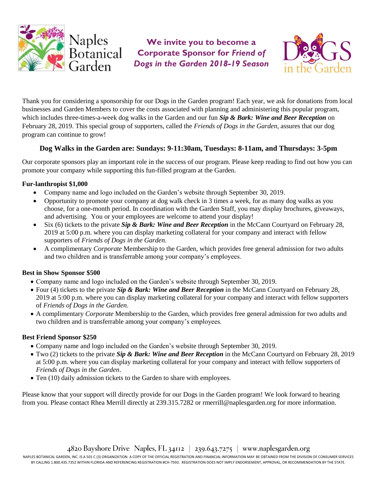

**We invite you to become a Corporate Sponsor for** *Friend of Dogs in the Garden 2018-19 Season*



Thank you for considering a sponsorship for our Dogs in the Garden program! Each year, we ask for donations from local businesses and Garden Members to cover the costs associated with planning and administering this popular program, which includes three-times-a-week dog walks in the Garden and our fun *Sip & Bark: Wine and Beer Reception* on February 28, 2019. This special group of supporters, called the *Friends of Dogs in the Garden*, assures that our dog program can continue to grow!

### **Dog Walks in the Garden are: Sundays: 9-11:30am, Tuesdays: 8-11am, and Thursdays: 3-5pm**

Our corporate sponsors play an important role in the success of our program. Please keep reading to find out how you can promote your company while supporting this fun-filled program at the Garden.

#### **Fur-lanthropist \$1,000**

- Company name and logo included on the Garden's website through September 30, 2019.
- Opportunity to promote your company at dog walk check in 3 times a week, for as many dog walks as you choose, for a one-month period. In coordination with the Garden Staff, you may display brochures, giveaways, and advertising. You or your employees are welcome to attend your display!
- Six (6) tickets to the private *Sip & Bark: Wine and Beer Reception* in the McCann Courtyard on February 28, 2019 at 5:00 p.m. where you can display marketing collateral for your company and interact with fellow supporters of *Friends of Dogs in the Garden*.
- A complimentary *Corporate* Membership to the Garden, which provides free general admission for two adults and two children and is transferrable among your company's employees.

#### **Best in Show Sponsor \$500**

- Company name and logo included on the Garden's website through September 30, 2019.
- Four (4) tickets to the private *Sip & Bark: Wine and Beer Reception* in the McCann Courtyard on February 28, 2019 at 5:00 p.m. where you can display marketing collateral for your company and interact with fellow supporters of *Friends of Dogs in the Garden*.
- A complimentary *Corporate* Membership to the Garden, which provides free general admission for two adults and two children and is transferrable among your company's employees.

#### **Best Friend Sponsor \$250**

- Company name and logo included on the Garden's website through September 30, 2019.
- Two (2) tickets to the private *Sip & Bark: Wine and Beer Reception* in the McCann Courtyard on February 28, 2019 at 5:00 p.m. where you can display marketing collateral for your company and interact with fellow supporters of *Friends of Dogs in the Garden*.
- Ten (10) daily admission tickets to the Garden to share with employees.

Please know that your support will directly provide for our Dogs in the Garden program! We look forward to hearing from you. Please contact Rhea Merrill directly at 239.315.7282 or rmerrill@naplesgarden.org for more information.

NAPLES BOTANICAL GARDEN, INC. IS A 501 C (3) ORGANIZATION. A COPY OF THE OFFICIAL REGISTRATION AND FINANCIAL INFORMATION MAY BE OBTAINED FROM THE DIVISION OF CONSUMER SERVICES BY CALLING 1.800.435.7352 WITHIN FLORIDA AND REFERENCING REGISTRATION #CH-7593. REGISTRATION DOES NOT IMPLY ENDORSEMENT, APPROVAL, OR RECOMMENDATION BY THE STATE.